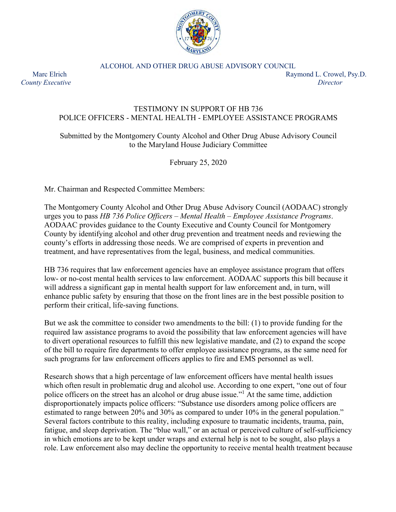

ALCOHOL AND OTHER DRUG ABUSE ADVISORY COUNCIL

Marc Elrich Raymond L. Crowel, Psy.D. *County Executive Director*

## TESTIMONY IN SUPPORT OF HB 736 POLICE OFFICERS - MENTAL HEALTH - EMPLOYEE ASSISTANCE PROGRAMS

## Submitted by the Montgomery County Alcohol and Other Drug Abuse Advisory Council to the Maryland House Judiciary Committee

February 25, 2020

Mr. Chairman and Respected Committee Members:

The Montgomery County Alcohol and Other Drug Abuse Advisory Council (AODAAC) strongly urges you to pass *HB 736 Police Officers – Mental Health – Employee Assistance Programs*. AODAAC provides guidance to the County Executive and County Council for Montgomery County by identifying alcohol and other drug prevention and treatment needs and reviewing the county's efforts in addressing those needs. We are comprised of experts in prevention and treatment, and have representatives from the legal, business, and medical communities.

HB 736 requires that law enforcement agencies have an employee assistance program that offers low- or no-cost mental health services to law enforcement. AODAAC supports this bill because it will address a significant gap in mental health support for law enforcement and, in turn, will enhance public safety by ensuring that those on the front lines are in the best possible position to perform their critical, life-saving functions.

But we ask the committee to consider two amendments to the bill: (1) to provide funding for the required law assistance programs to avoid the possibility that law enforcement agencies will have to divert operational resources to fulfill this new legislative mandate, and (2) to expand the scope of the bill to require fire departments to offer employee assistance programs, as the same need for such programs for law enforcement officers applies to fire and EMS personnel as well.

Research shows that a high percentage of law enforcement officers have mental health issues which often result in problematic drug and alcohol use. According to one expert, "one out of four police officers on the street has an alcohol or drug abuse issue."<sup>1</sup> At the same time, addiction disproportionately impacts police officers: "Substance use disorders among police officers are estimated to range between 20% and 30% as compared to under 10% in the general population." Several factors contribute to this reality, including exposure to traumatic incidents, trauma, pain, fatigue, and sleep deprivation. The "blue wall," or an actual or perceived culture of self-sufficiency in which emotions are to be kept under wraps and external help is not to be sought, also plays a role. Law enforcement also may decline the opportunity to receive mental health treatment because